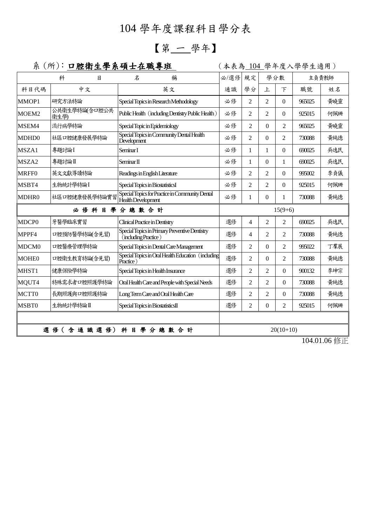## 104 學年度課程科目學分表

## 【第 一 學年】

## 系 (所): 口腔衛生學系碩士在職專班 | (本表為 104 學年度入學學生適用)

|                             | 科                     | 目 | 名                                                        | 稱                                                  | 必/選修      | 規定             |                | 學分數            |        | 主負責教師 |
|-----------------------------|-----------------------|---|----------------------------------------------------------|----------------------------------------------------|-----------|----------------|----------------|----------------|--------|-------|
| 科目代碼                        | 中文                    |   |                                                          | 英文                                                 | 通識        | 學分             | 上              | $\top$         | 職號     | 姓名    |
| MMOP1                       | 研究方法特論                |   | Special Topics in Research Methodology                   |                                                    | 必修        | $\mathfrak{D}$ | $\mathfrak{D}$ | $\Omega$       | 965025 | 黄曉靈   |
| MOEM2                       | 公共衛生學特論(含口腔公共<br>衛生學) |   | Public Health (including Dentistry Public Health)        |                                                    | 必修        | 2              | $\overline{2}$ | $\Omega$       | 925015 | 何佩珊   |
| MSEM4                       | 流行病學特論                |   | Special Topic in Epidemiology                            |                                                    | 必修        | 2              | $\Omega$       | $\overline{c}$ | 965025 | 黃曉靈   |
| MDHD0                       | 社區口腔健康發展學特論           |   | Special Topics in Community Dental Health<br>Development |                                                    | 必修        | $\overline{2}$ | $\theta$       | $\overline{2}$ | 730088 | 黄純德   |
| MSZA1                       | 專題討論I                 |   | Seminar I                                                |                                                    | 必修        | 1              | 1              | $\Omega$       | 690025 | 吳逸民   |
| MSZA2                       | 專題討論Ⅱ                 |   | Seminar II                                               |                                                    | 必修        | $\mathbf{1}$   | $\Omega$       | 1              | 690025 | 吳逸民   |
| <b>MRFF0</b>                | 英文文獻導讀特論              |   | Readings in English Literature                           |                                                    | 必修        | $\overline{2}$ | $\overline{2}$ | $\Omega$       | 995002 | 李貞儀   |
| MSBT4                       | 生物統計學特論I              |   | Special Topics in BiostatisticsI                         |                                                    | 必修        | $\overline{2}$ | $\overline{2}$ | $\theta$       | 925015 | 何佩珊   |
| MDHR0                       | 社區口腔健康發展學特論實習         |   | Health Development                                       | Special Topics for Practice in Community Dental    | 必修        | 1              | $\Omega$       | 1              | 730088 | 黃純德   |
| 必修科目學分總數合計                  |                       |   |                                                          |                                                    | $15(9+6)$ |                |                |                |        |       |
| MDCP <sub>0</sub>           | 牙醫學臨床實習               |   | Clinical Practice in Dentistry                           |                                                    | 選修        | 4              | $\overline{2}$ | $\overline{c}$ | 690025 | 吳逸民   |
| MPPF4                       | 口腔預防醫學特論(含見習)         |   | (including Practice)                                     | Special Topics in Primary Preventive Dentistry     | 選修        | 4              | $\overline{2}$ | 2              | 730088 | 黃純德   |
| MDCM <sub>0</sub>           | 口腔醫療管理學特論             |   |                                                          | Special Topics in Dental Care Management           | 選修        | $\overline{c}$ | $\Omega$       | 2              | 995022 | 丁羣展   |
| <b>MOHE0</b>                | 口腔衛生教育特論(含見習)         |   | Practice)                                                | Special Topics in Oral Health Education (including | 選修        | $\overline{2}$ | $\Omega$       | $\overline{c}$ | 730088 | 黃純德   |
| MHST1                       | 健康保險學特論               |   | Special Topics in Health Insurance                       |                                                    | 選修        | $\overline{c}$ | $\overline{2}$ | $\theta$       | 900132 | 李坤宗   |
| MQUT4                       | 特殊需求者口腔照護學特論          |   |                                                          | Oral Health Care and People with Special Needs     | 選修        | $\overline{c}$ | $\overline{c}$ | $\Omega$       | 730088 | 黃純德   |
| MCTT0                       | 長期照護與口腔照護特論           |   | Long Term Care and Oral Health Care                      |                                                    | 選修        | 2              | 2              | $\theta$       | 730088 | 黃純德   |
| MSBT0                       | 生物統計學特論I              |   | Special Topics in BiostatisticsII                        |                                                    | 選修        | 2              | $\theta$       | $\overline{2}$ | 925015 | 何佩珊   |
|                             |                       |   |                                                          |                                                    |           |                |                |                |        |       |
| 含通識選修)<br>科目學分總數合計<br>選 修 ( |                       |   |                                                          | $20(10+10)$                                        |           |                |                |                |        |       |

104.01.06 修正